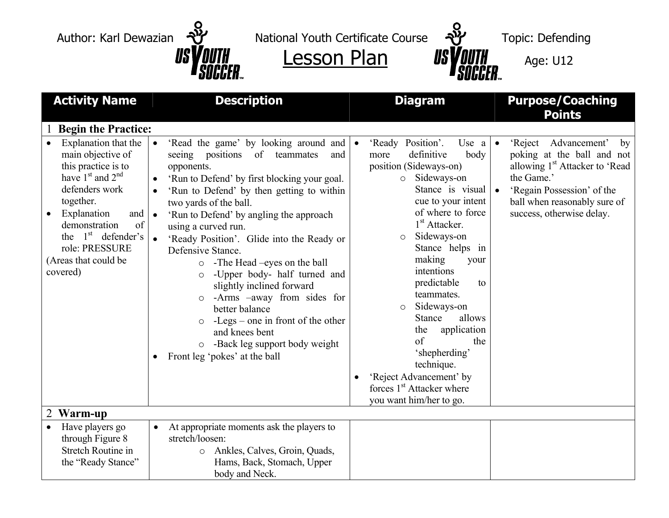

 $\frac{1}{s}$  US VOUTH Lesson Plan US VOUTH Age: U12

| <b>Activity Name</b>                                                                                                                                                                                                                               | <b>Description</b>                                                                                                                                                                                                                                                                                                                                                                                                                                                                                                                                                                                                                                                                                             | <b>Diagram</b>                                                                                                                                                                                                                                                                                                                                                                                                                                                                                                                                                        | <b>Purpose/Coaching</b><br><b>Points</b>                                                                                                                                                                                                  |
|----------------------------------------------------------------------------------------------------------------------------------------------------------------------------------------------------------------------------------------------------|----------------------------------------------------------------------------------------------------------------------------------------------------------------------------------------------------------------------------------------------------------------------------------------------------------------------------------------------------------------------------------------------------------------------------------------------------------------------------------------------------------------------------------------------------------------------------------------------------------------------------------------------------------------------------------------------------------------|-----------------------------------------------------------------------------------------------------------------------------------------------------------------------------------------------------------------------------------------------------------------------------------------------------------------------------------------------------------------------------------------------------------------------------------------------------------------------------------------------------------------------------------------------------------------------|-------------------------------------------------------------------------------------------------------------------------------------------------------------------------------------------------------------------------------------------|
| <b>Begin the Practice:</b>                                                                                                                                                                                                                         |                                                                                                                                                                                                                                                                                                                                                                                                                                                                                                                                                                                                                                                                                                                |                                                                                                                                                                                                                                                                                                                                                                                                                                                                                                                                                                       |                                                                                                                                                                                                                                           |
| Explanation that the<br>main objective of<br>this practice is to<br>have $1st$ and $2nd$<br>defenders work<br>together.<br>Explanation<br>and<br>demonstration<br>of<br>the $1st$ defender's<br>role: PRESSURE<br>(Areas that could be<br>covered) | 'Read the game' by looking around and<br>$\bullet$<br>seeing positions of teammates<br>and<br>opponents.<br>'Run to Defend' by first blocking your goal.<br>'Run to Defend' by then getting to within<br>two yards of the ball.<br>'Run to Defend' by angling the approach<br>$\bullet$<br>using a curved run.<br>'Ready Position'. Glide into the Ready or<br>$\bullet$<br>Defensive Stance.<br>-The Head –eyes on the ball<br>$\circ$<br>-Upper body- half turned and<br>$\circ$<br>slightly inclined forward<br>-Arms -away from sides for<br>better balance<br>-Legs – one in front of the other<br>$\circ$<br>and knees bent<br>-Back leg support body weight<br>$\circ$<br>Front leg 'pokes' at the ball | 'Ready Position'.<br>Use $a$<br>$\bullet$<br>definitive<br>body<br>more<br>position (Sideways-on)<br>Sideways-on<br>$\circ$<br>Stance is visual<br>cue to your intent<br>of where to force<br>1 <sup>st</sup> Attacker.<br>Sideways-on<br>$\circ$<br>Stance helps in<br>making<br>your<br>intentions<br>predictable<br>to<br>teammates.<br>Sideways-on<br>$\circ$<br><b>Stance</b><br>allows<br>application<br>the<br>$\sigma$ f<br>the<br>'shepherding'<br>technique.<br>'Reject Advancement' by<br>forces 1 <sup>st</sup> Attacker where<br>you want him/her to go. | 'Reject Advancement'<br>by<br>$\bullet$<br>poking at the ball and not<br>allowing 1 <sup>st</sup> Attacker to 'Read<br>the Game.'<br>'Regain Possession' of the<br>$\bullet$<br>ball when reasonably sure of<br>success, otherwise delay. |
| Warm-up                                                                                                                                                                                                                                            |                                                                                                                                                                                                                                                                                                                                                                                                                                                                                                                                                                                                                                                                                                                |                                                                                                                                                                                                                                                                                                                                                                                                                                                                                                                                                                       |                                                                                                                                                                                                                                           |
| Have players go<br>through Figure 8<br><b>Stretch Routine in</b><br>the "Ready Stance"                                                                                                                                                             | At appropriate moments ask the players to<br>$\bullet$<br>stretch/loosen:<br>Ankles, Calves, Groin, Quads,<br>$\circ$<br>Hams, Back, Stomach, Upper<br>body and Neck.                                                                                                                                                                                                                                                                                                                                                                                                                                                                                                                                          |                                                                                                                                                                                                                                                                                                                                                                                                                                                                                                                                                                       |                                                                                                                                                                                                                                           |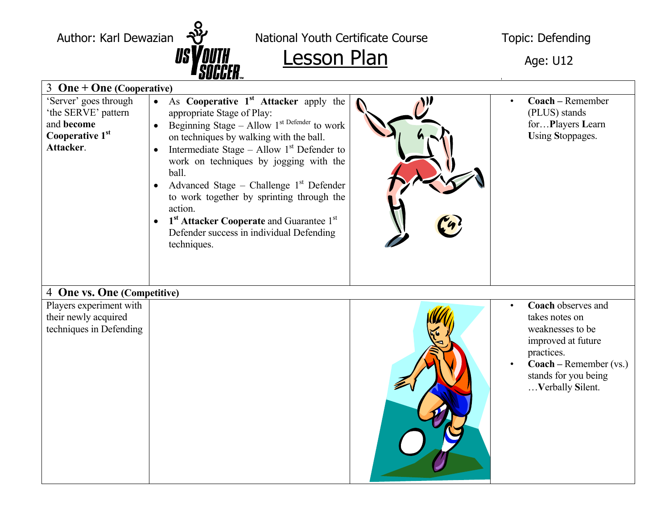

Author: Karl Dewazian  $\frac{8}{10}$  National Youth Certificate Course Topic: Defending

## $\frac{1}{s}$   $\frac{1}{s}$   $\frac{1}{s}$   $\frac{1}{s}$   $\frac{1}{s}$   $\frac{1}{s}$   $\frac{1}{s}$   $\frac{1}{s}$   $\frac{1}{s}$   $\frac{1}{s}$   $\frac{1}{s}$   $\frac{1}{s}$   $\frac{1}{s}$   $\frac{1}{s}$   $\frac{1}{s}$   $\frac{1}{s}$   $\frac{1}{s}$   $\frac{1}{s}$   $\frac{1}{s}$   $\frac{1}{s}$   $\frac{1}{s}$   $\frac{1}{s}$

|                                                                                            | UUUUL!!™                                                                                                                                                                                                                                                                                                                                                                                                                                                                                                                       |                                                                                                                                                                                                |
|--------------------------------------------------------------------------------------------|--------------------------------------------------------------------------------------------------------------------------------------------------------------------------------------------------------------------------------------------------------------------------------------------------------------------------------------------------------------------------------------------------------------------------------------------------------------------------------------------------------------------------------|------------------------------------------------------------------------------------------------------------------------------------------------------------------------------------------------|
| 3 One + One (Cooperative)                                                                  |                                                                                                                                                                                                                                                                                                                                                                                                                                                                                                                                |                                                                                                                                                                                                |
| 'Server' goes through<br>'the SERVE' pattern<br>and become<br>Cooperative 1st<br>Attacker. | As Cooperative 1 <sup>st</sup> Attacker apply the<br>$\bullet$<br>appropriate Stage of Play:<br>Beginning Stage - Allow $1^{st}$ Defender to work<br>on techniques by walking with the ball.<br>Intermediate Stage – Allow $1st$ Defender to<br>$\bullet$<br>work on techniques by jogging with the<br>ball.<br>Advanced Stage - Challenge $1st$ Defender<br>to work together by sprinting through the<br>action.<br>• $1st$ Attacker Cooperate and Guarantee $1st$<br>Defender success in individual Defending<br>techniques. | Coach - Remember<br>$\bullet$<br>(PLUS) stands<br>forPlayers Learn<br>Using Stoppages.                                                                                                         |
| 4 One vs. One (Competitive)                                                                |                                                                                                                                                                                                                                                                                                                                                                                                                                                                                                                                |                                                                                                                                                                                                |
| Players experiment with<br>their newly acquired<br>techniques in Defending                 |                                                                                                                                                                                                                                                                                                                                                                                                                                                                                                                                | Coach observes and<br>takes notes on<br>weaknesses to be<br>improved at future<br>practices.<br>$\mathbf{Coach} - \mathbf{Remember}(\mathbf{vs.})$<br>stands for you being<br>Verbally Silent. |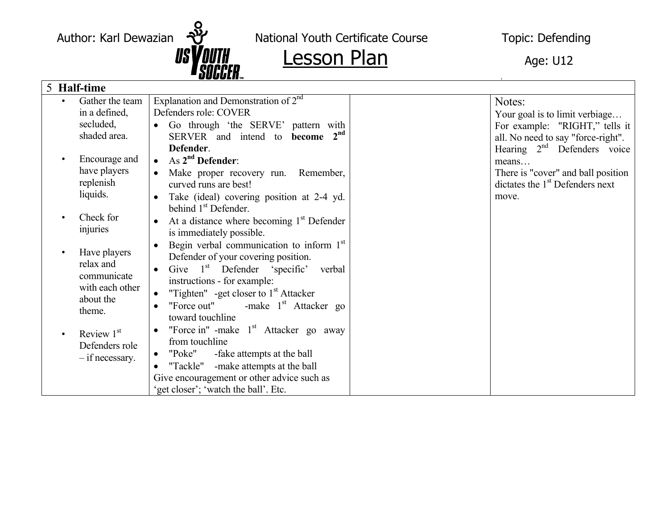

Author: Karl Dewazian  $\overline{v}$  National Youth Certificate Course Topic: Defending

| 5 Half-time                                         |                                      |                                                      |  |                                    |
|-----------------------------------------------------|--------------------------------------|------------------------------------------------------|--|------------------------------------|
|                                                     | Gather the team                      | Explanation and Demonstration of $2nd$               |  | Notes:                             |
|                                                     | in a defined,                        | Defenders role: COVER                                |  | Your goal is to limit verbiage     |
|                                                     | secluded,                            | Go through 'the SERVE' pattern with<br>$\bullet$     |  | For example: "RIGHT," tells it     |
|                                                     | shaded area.                         | SERVER and intend to become 2 <sup>nd</sup>          |  | all. No need to say "force-right". |
|                                                     |                                      | Defender.                                            |  | Hearing $2nd$ Defenders voice      |
|                                                     | Encourage and                        | As $2nd$ Defender:<br>$\bullet$                      |  | means                              |
|                                                     | have players                         | Make proper recovery run.<br>Remember,               |  | There is "cover" and ball position |
|                                                     | replenish                            | curved runs are best!                                |  | dictates the $1st$ Defenders next  |
|                                                     | liquids.                             | Take (ideal) covering position at 2-4 yd.            |  | move.                              |
|                                                     |                                      | behind 1 <sup>st</sup> Defender.                     |  |                                    |
|                                                     | Check for                            | At a distance where becoming $1st$ Defender          |  |                                    |
|                                                     | injuries                             | is immediately possible.                             |  |                                    |
|                                                     | Have players                         | Begin verbal communication to inform $1st$           |  |                                    |
|                                                     | relax and                            | Defender of your covering position.                  |  |                                    |
|                                                     | communicate                          | Give $1st$ Defender 'specific'<br>verbal             |  |                                    |
|                                                     | with each other                      | instructions - for example:                          |  |                                    |
|                                                     | about the                            | "Tighten" -get closer to $1st$ Attacker<br>$\bullet$ |  |                                    |
| theme.                                              |                                      | "Force out"<br>-make $1st$ Attacker go               |  |                                    |
|                                                     |                                      | toward touchline                                     |  |                                    |
| Review $1st$<br>Defenders role<br>$-$ if necessary. |                                      | "Force in" -make 1 <sup>st</sup> Attacker go away    |  |                                    |
|                                                     |                                      | from touchline                                       |  |                                    |
|                                                     | "Poke"<br>-fake attempts at the ball |                                                      |  |                                    |
|                                                     |                                      | "Tackle"<br>-make attempts at the ball               |  |                                    |
|                                                     |                                      | Give encouragement or other advice such as           |  |                                    |
|                                                     |                                      | get closer'; 'watch the ball'. Etc.                  |  |                                    |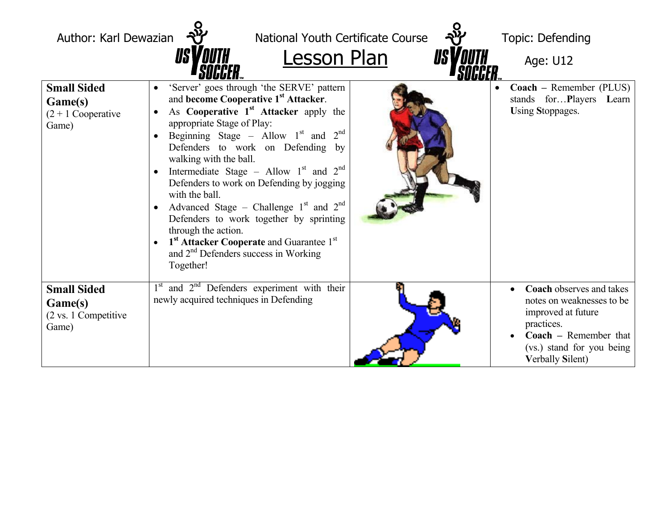| Author: Karl Dewazian                                           | National Youth Certificate Course<br><b>Lesson Plan</b><br><i>IIS\</i>                                                                                                                                                                                                                                                                                                                                                                                                                                                                                                                                                                                                                    | Topic: Defending<br>Age: U12                                                                                                                                                             |
|-----------------------------------------------------------------|-------------------------------------------------------------------------------------------------------------------------------------------------------------------------------------------------------------------------------------------------------------------------------------------------------------------------------------------------------------------------------------------------------------------------------------------------------------------------------------------------------------------------------------------------------------------------------------------------------------------------------------------------------------------------------------------|------------------------------------------------------------------------------------------------------------------------------------------------------------------------------------------|
| <b>Small Sided</b><br>Game(s)<br>$(2 + 1)$ Cooperative<br>Game) | 'Server' goes through 'the SERVE' pattern<br>$\bullet$<br>and become Cooperative 1 <sup>st</sup> Attacker.<br>As Cooperative 1 <sup>st</sup> Attacker apply the<br>$\bullet$<br>appropriate Stage of Play:<br>Beginning Stage - Allow $1st$ and $2nd$<br>Defenders to work on Defending by<br>walking with the ball.<br>Intermediate Stage – Allow $1st$ and $2nd$<br>Defenders to work on Defending by jogging<br>with the ball.<br>Advanced Stage – Challenge $1st$ and $2nd$<br>$\bullet$<br>Defenders to work together by sprinting<br>through the action.<br>1 <sup>st</sup> Attacker Cooperate and Guarantee 1 <sup>st</sup><br>and $2nd$ Defenders success in Working<br>Together! | Coach - Remember (PLUS)<br>stands forPlayers Learn<br><b>Using Stoppages.</b>                                                                                                            |
| <b>Small Sided</b><br>Game(s)<br>(2 vs. 1 Competitive<br>Game)  | $1st$ and $2nd$ Defenders experiment with their<br>newly acquired techniques in Defending                                                                                                                                                                                                                                                                                                                                                                                                                                                                                                                                                                                                 | <b>Coach</b> observes and takes<br>notes on weaknesses to be<br>improved at future<br>practices.<br><b>Coach</b> – Remember that<br>(vs.) stand for you being<br><b>Verbally Silent)</b> |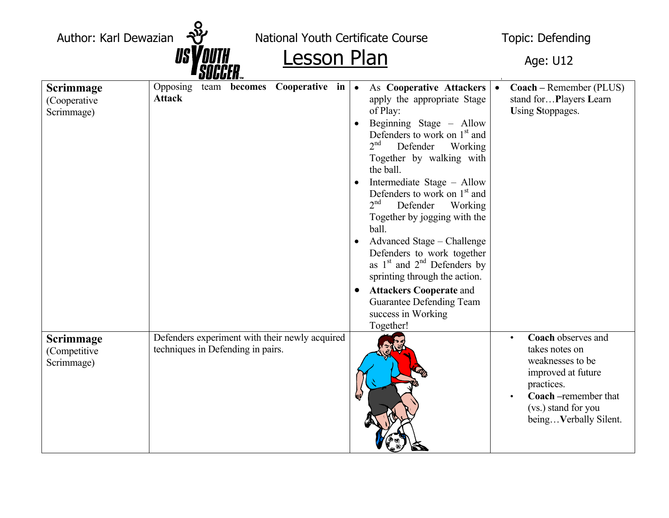Author: Karl Dewazian  $\frac{18}{10}$  National Youth Certificate Course Topic: Defending Lesson Plan Age: U12 **Scrimmage**  (Cooperative Scrimmage) Opposing team **becomes Cooperative in Attack**• As **Cooperative Attackers** apply the appropriate Stage of Play: • Beginning Stage – Allow Defenders to work on  $1<sup>st</sup>$  and <sup>2</sup>nd Defender Working Together by walking with • **Coach –** Remember (PLUS) stand for…**P**layers **L**earn **U**sing **S**toppages.

- the ball. • Intermediate Stage – Allow Defenders to work on  $1<sup>st</sup>$  and 2<sup>nd</sup> Defender Working Together by jogging with the ball. • Advanced Stage – Challenge Defenders to work together as  $1<sup>st</sup>$  and  $2<sup>nd</sup>$  Defenders by sprinting through the action. • **Attackers Cooperate** and Guarantee Defending Team success in Working Together! **Scrimmage**  (Competitive Scrimmage) Defenders experiment with their newly acquired techniques in Defending in pairs. • **Coach** observes and takes notes on weaknesses to be improved at future practices. • **Coach –**remember that
	-

(vs.) stand for you being…**V**erbally Silent.